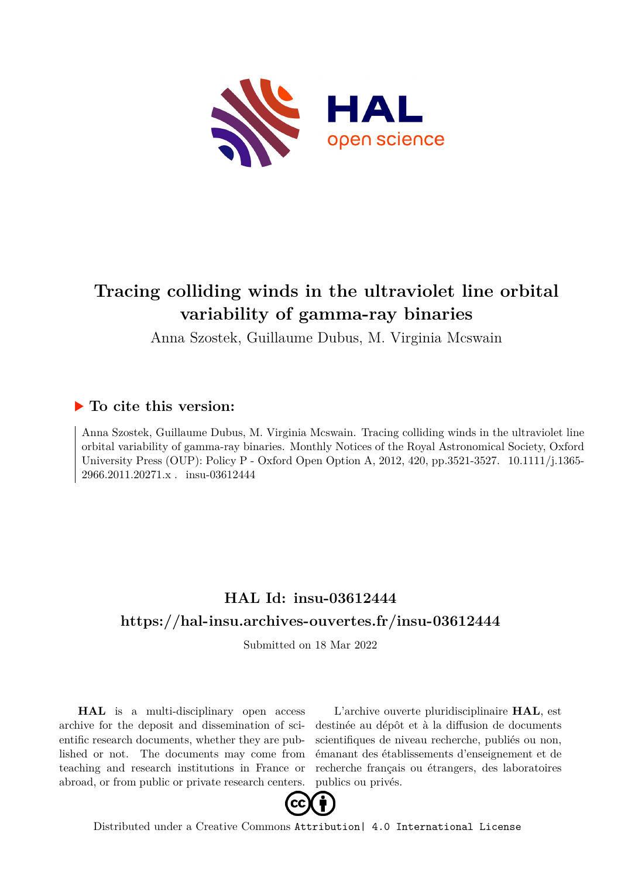

# **Tracing colliding winds in the ultraviolet line orbital variability of gamma-ray binaries**

Anna Szostek, Guillaume Dubus, M. Virginia Mcswain

## **To cite this version:**

Anna Szostek, Guillaume Dubus, M. Virginia Mcswain. Tracing colliding winds in the ultraviolet line orbital variability of gamma-ray binaries. Monthly Notices of the Royal Astronomical Society, Oxford University Press (OUP): Policy P - Oxford Open Option A, 2012, 420, pp.3521-3527. 10.1111/j.1365-2966.2011.20271.x . insu-03612444

## **HAL Id: insu-03612444 <https://hal-insu.archives-ouvertes.fr/insu-03612444>**

Submitted on 18 Mar 2022

**HAL** is a multi-disciplinary open access archive for the deposit and dissemination of scientific research documents, whether they are published or not. The documents may come from teaching and research institutions in France or abroad, or from public or private research centers.

L'archive ouverte pluridisciplinaire **HAL**, est destinée au dépôt et à la diffusion de documents scientifiques de niveau recherche, publiés ou non, émanant des établissements d'enseignement et de recherche français ou étrangers, des laboratoires publics ou privés.



Distributed under a Creative Commons [Attribution| 4.0 International License](http://creativecommons.org/licenses/by/4.0/)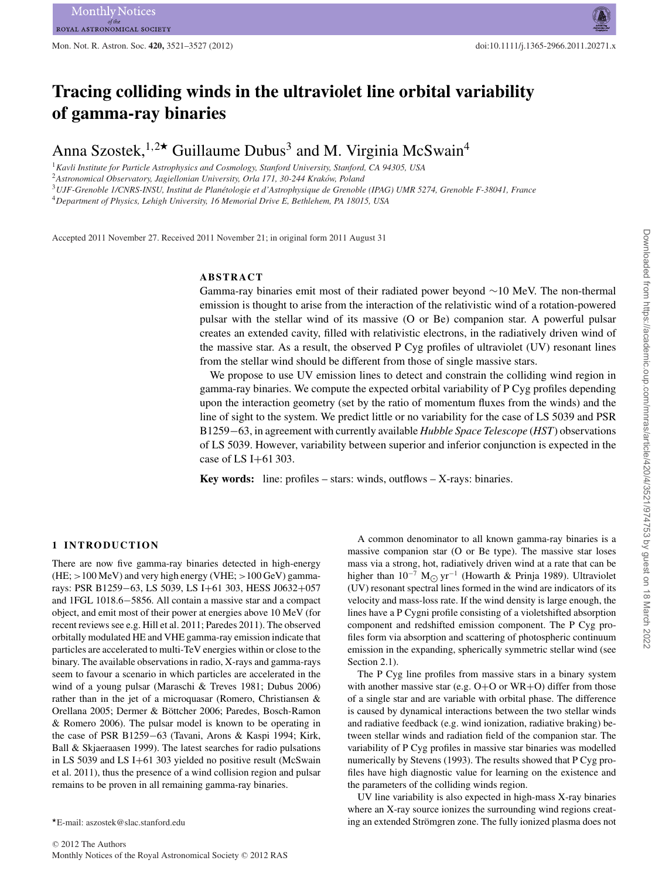## **Tracing colliding winds in the ultraviolet line orbital variability of gamma-ray binaries**

Anna Szostek,<sup>1,2\*</sup> Guillaume Dubus<sup>3</sup> and M. Virginia McSwain<sup>4</sup>

<sup>1</sup>*Kavli Institute for Particle Astrophysics and Cosmology, Stanford University, Stanford, CA 94305, USA*

<sup>2</sup>Astronomical Observatory, Jagiellonian University, Orla 171, 30-244 Kraków, Poland

<sup>3</sup>*UJF-Grenoble 1/CNRS-INSU, Institut de Planetologie et d'Astrophysique de Grenoble (IPAG) UMR 5274, Grenoble F-38041, France ´*

<sup>4</sup>*Department of Physics, Lehigh University, 16 Memorial Drive E, Bethlehem, PA 18015, USA*

Accepted 2011 November 27. Received 2011 November 21; in original form 2011 August 31

## **ABSTRACT**

Gamma-ray binaries emit most of their radiated power beyond ∼10 MeV. The non-thermal emission is thought to arise from the interaction of the relativistic wind of a rotation-powered pulsar with the stellar wind of its massive (O or Be) companion star. A powerful pulsar creates an extended cavity, filled with relativistic electrons, in the radiatively driven wind of the massive star. As a result, the observed P Cyg profiles of ultraviolet (UV) resonant lines from the stellar wind should be different from those of single massive stars.

We propose to use UV emission lines to detect and constrain the colliding wind region in gamma-ray binaries. We compute the expected orbital variability of P Cyg profiles depending upon the interaction geometry (set by the ratio of momentum fluxes from the winds) and the line of sight to the system. We predict little or no variability for the case of LS 5039 and PSR B1259−63, in agreement with currently available *Hubble Space Telescope* (*HST*) observations of LS 5039. However, variability between superior and inferior conjunction is expected in the case of LS I+61 303.

**Key words:** line: profiles – stars: winds, outflows – X-rays: binaries.

## **1 INTRODUCTION**

There are now five gamma-ray binaries detected in high-energy  $(HE; >100 \text{ MeV})$  and very high energy (VHE;  $>100 \text{ GeV}$ ) gammarays: PSR B1259−63, LS 5039, LS I+61 303, HESS J0632+057 and 1FGL 1018.6−5856. All contain a massive star and a compact object, and emit most of their power at energies above 10 MeV (for recent reviews see e.g. Hill et al. 2011; Paredes 2011). The observed orbitally modulated HE and VHE gamma-ray emission indicate that particles are accelerated to multi-TeV energies within or close to the binary. The available observations in radio, X-rays and gamma-rays seem to favour a scenario in which particles are accelerated in the wind of a young pulsar (Maraschi & Treves 1981; Dubus 2006) rather than in the jet of a microquasar (Romero, Christiansen & Orellana 2005; Dermer & Böttcher 2006; Paredes, Bosch-Ramon & Romero 2006). The pulsar model is known to be operating in the case of PSR B1259−63 (Tavani, Arons & Kaspi 1994; Kirk, Ball & Skjaeraasen 1999). The latest searches for radio pulsations in LS 5039 and LS I+61 303 yielded no positive result (McSwain et al. 2011), thus the presence of a wind collision region and pulsar remains to be proven in all remaining gamma-ray binaries.

A common denominator to all known gamma-ray binaries is a massive companion star (O or Be type). The massive star loses mass via a strong, hot, radiatively driven wind at a rate that can be higher than  $10^{-7}$  M<sub> $\odot$ </sub> yr<sup>-1</sup> (Howarth & Prinja 1989). Ultraviolet (UV) resonant spectral lines formed in the wind are indicators of its velocity and mass-loss rate. If the wind density is large enough, the lines have a P Cygni profile consisting of a violetshifted absorption component and redshifted emission component. The P Cyg profiles form via absorption and scattering of photospheric continuum emission in the expanding, spherically symmetric stellar wind (see Section 2.1).

The P Cyg line profiles from massive stars in a binary system with another massive star (e.g.  $O+O$  or  $WR+O$ ) differ from those of a single star and are variable with orbital phase. The difference is caused by dynamical interactions between the two stellar winds and radiative feedback (e.g. wind ionization, radiative braking) between stellar winds and radiation field of the companion star. The variability of P Cyg profiles in massive star binaries was modelled numerically by Stevens (1993). The results showed that P Cyg profiles have high diagnostic value for learning on the existence and the parameters of the colliding winds region.

UV line variability is also expected in high-mass X-ray binaries where an X-ray source ionizes the surrounding wind regions creating an extended Strömgren zone. The fully ionized plasma does not

<sup>-</sup>E-mail: aszostek@slac.stanford.edu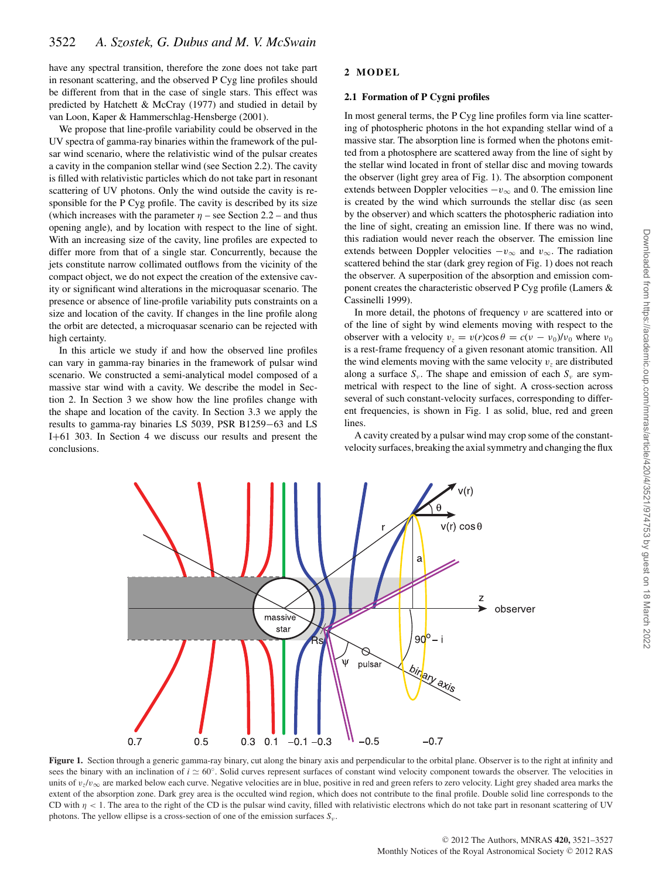have any spectral transition, therefore the zone does not take part in resonant scattering, and the observed P Cyg line profiles should be different from that in the case of single stars. This effect was predicted by Hatchett & McCray (1977) and studied in detail by van Loon, Kaper & Hammerschlag-Hensberge (2001).

We propose that line-profile variability could be observed in the UV spectra of gamma-ray binaries within the framework of the pulsar wind scenario, where the relativistic wind of the pulsar creates a cavity in the companion stellar wind (see Section 2.2). The cavity is filled with relativistic particles which do not take part in resonant scattering of UV photons. Only the wind outside the cavity is responsible for the P Cyg profile. The cavity is described by its size (which increases with the parameter  $\eta$  – see Section 2.2 – and thus opening angle), and by location with respect to the line of sight. With an increasing size of the cavity, line profiles are expected to differ more from that of a single star. Concurrently, because the jets constitute narrow collimated outflows from the vicinity of the compact object, we do not expect the creation of the extensive cavity or significant wind alterations in the microquasar scenario. The presence or absence of line-profile variability puts constraints on a size and location of the cavity. If changes in the line profile along the orbit are detected, a microquasar scenario can be rejected with high certainty.

In this article we study if and how the observed line profiles can vary in gamma-ray binaries in the framework of pulsar wind scenario. We constructed a semi-analytical model composed of a massive star wind with a cavity. We describe the model in Section 2. In Section 3 we show how the line profiles change with the shape and location of the cavity. In Section 3.3 we apply the results to gamma-ray binaries LS 5039, PSR B1259−63 and LS I+61 303. In Section 4 we discuss our results and present the conclusions.

 $0.7$ 

 $0.5$ 

 $0.3$ 

 $0.1$ 

## **2 MODEL**

## **2.1 Formation of P Cygni profiles**

In most general terms, the P Cyg line profiles form via line scattering of photospheric photons in the hot expanding stellar wind of a massive star. The absorption line is formed when the photons emitted from a photosphere are scattered away from the line of sight by the stellar wind located in front of stellar disc and moving towards the observer (light grey area of Fig. 1). The absorption component extends between Doppler velocities  $-v_{\infty}$  and 0. The emission line is created by the wind which surrounds the stellar disc (as seen by the observer) and which scatters the photospheric radiation into the line of sight, creating an emission line. If there was no wind, this radiation would never reach the observer. The emission line extends between Doppler velocities  $-v_{\infty}$  and  $v_{\infty}$ . The radiation scattered behind the star (dark grey region of Fig. 1) does not reach the observer. A superposition of the absorption and emission component creates the characteristic observed P Cyg profile (Lamers & Cassinelli 1999).

In more detail, the photons of frequency  $\nu$  are scattered into or of the line of sight by wind elements moving with respect to the observer with a velocity  $v_z = v(r)\cos\theta = c(v - v_0)/v_0$  where  $v_0$ is a rest-frame frequency of a given resonant atomic transition. All the wind elements moving with the same velocity  $v<sub>z</sub>$  are distributed along a surface  $S_v$ . The shape and emission of each  $S_v$  are symmetrical with respect to the line of sight. A cross-section across several of such constant-velocity surfaces, corresponding to different frequencies, is shown in Fig. 1 as solid, blue, red and green lines.

A cavity created by a pulsar wind may crop some of the constantvelocity surfaces, breaking the axial symmetry and changing the flux

 $\overline{z}$ 

observer

v(r)

 $v(r) \cos \theta$ 

a

 $90^{\circ} - i$ 

binary axis

 $-0.7$ 

Figure 1. Section through a generic gamma-ray binary, cut along the binary axis and perpendicular to the orbital plane. Observer is to the right at infinity and sees the binary with an inclination of  $i \approx 60°$ . Solid curves represent surfaces of constant wind velocity component towards the observer. The velocities in units of  $v_z/v_\infty$  are marked below each curve. Negative velocities are in blue, positive in red and green refers to zero velocity. Light grey shaded area marks the extent of the absorption zone. Dark grey area is the occulted wind region, which does not contribute to the final profile. Double solid line corresponds to the CD with  $\eta$  < 1. The area to the right of the CD is the pulsar wind cavity, filled with relativistic electrons which do not take part in resonant scattering of UV photons. The yellow ellipse is a cross-section of one of the emission surfaces *S*<sup>ν</sup>.

 $-0.1 - 0.3$ 

pulsai

 $-0.5$ 

massive star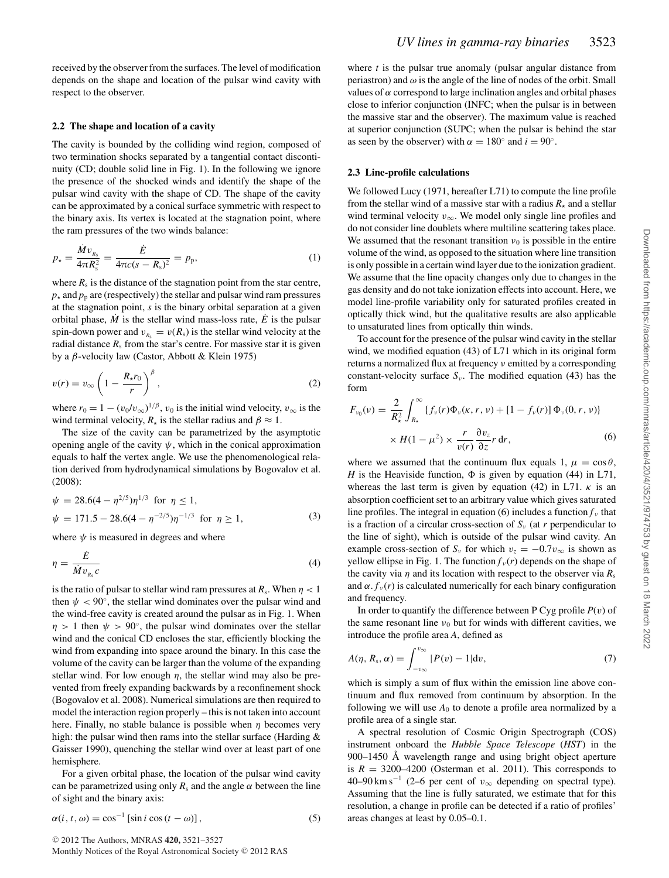received by the observer from the surfaces. The level of modification depends on the shape and location of the pulsar wind cavity with respect to the observer.

#### **2.2 The shape and location of a cavity**

The cavity is bounded by the colliding wind region, composed of two termination shocks separated by a tangential contact discontinuity (CD; double solid line in Fig. 1). In the following we ignore the presence of the shocked winds and identify the shape of the pulsar wind cavity with the shape of CD. The shape of the cavity can be approximated by a conical surface symmetric with respect to the binary axis. Its vertex is located at the stagnation point, where the ram pressures of the two winds balance:

$$
p_{\star} = \frac{\dot{M}v_{R_{\rm s}}}{4\pi R_{\rm s}^2} = \frac{\dot{E}}{4\pi c(s - R_{\rm s})^2} = p_{\rm p},\tag{1}
$$

where  $R_s$  is the distance of the stagnation point from the star centre,  $p_{\star}$  and  $p_{\rm p}$  are (respectively) the stellar and pulsar wind ram pressures at the stagnation point, *s* is the binary orbital separation at a given orbital phase,  $\dot{M}$  is the stellar wind mass-loss rate,  $\dot{E}$  is the pulsar spin-down power and  $v_{R_s} = v(R_s)$  is the stellar wind velocity at the radial distance  $R<sub>s</sub>$  from the star's centre. For massive star it is given by a β-velocity law (Castor, Abbott & Klein 1975)

$$
v(r) = v_{\infty} \left( 1 - \frac{R_{\star} r_0}{r} \right)^{\beta}, \qquad (2)
$$

where  $r_0 = 1 - (v_0/v_\infty)^{1/\beta}$ ,  $v_0$  is the initial wind velocity,  $v_\infty$  is the wind terminal velocity,  $R_{\star}$  is the stellar radius and  $\beta \approx 1$ .

The size of the cavity can be parametrized by the asymptotic opening angle of the cavity  $\psi$ , which in the conical approximation equals to half the vertex angle. We use the phenomenological relation derived from hydrodynamical simulations by Bogovalov et al. (2008):

$$
\psi = 28.6(4 - \eta^{2/5})\eta^{1/3} \text{ for } \eta \le 1,
$$
  
\n
$$
\psi = 171.5 - 28.6(4 - \eta^{-2/5})\eta^{-1/3} \text{ for } \eta \ge 1,
$$
\n(3)

where  $\psi$  is measured in degrees and where

$$
\eta = \frac{\dot{E}}{\dot{M}v_{R_s}c}
$$
 (4)

is the ratio of pulsar to stellar wind ram pressures at  $R_s$ . When  $\eta < 1$ then  $\psi < 90^\circ$ , the stellar wind dominates over the pulsar wind and the wind-free cavity is created around the pulsar as in Fig. 1. When  $\eta > 1$  then  $\psi > 90^\circ$ , the pulsar wind dominates over the stellar wind and the conical CD encloses the star, efficiently blocking the wind from expanding into space around the binary. In this case the volume of the cavity can be larger than the volume of the expanding stellar wind. For low enough  $\eta$ , the stellar wind may also be prevented from freely expanding backwards by a reconfinement shock (Bogovalov et al. 2008). Numerical simulations are then required to model the interaction region properly – this is not taken into account here. Finally, no stable balance is possible when  $\eta$  becomes very high: the pulsar wind then rams into the stellar surface (Harding & Gaisser 1990), quenching the stellar wind over at least part of one hemisphere.

For a given orbital phase, the location of the pulsar wind cavity can be parametrized using only  $R_s$  and the angle  $\alpha$  between the line of sight and the binary axis:

$$
\alpha(i, t, \omega) = \cos^{-1} \left[ \sin i \cos (t - \omega) \right],\tag{5}
$$

<sup>C</sup> 2012 The Authors, MNRAS **420,** 3521–3527 Monthly Notices of the Royal Astronomical Society © 2012 RAS where *t* is the pulsar true anomaly (pulsar angular distance from periastron) and  $\omega$  is the angle of the line of nodes of the orbit. Small values of  $\alpha$  correspond to large inclination angles and orbital phases close to inferior conjunction (INFC; when the pulsar is in between the massive star and the observer). The maximum value is reached at superior conjunction (SUPC; when the pulsar is behind the star as seen by the observer) with  $\alpha = 180^\circ$  and  $i = 90^\circ$ .

## **2.3 Line-profile calculations**

We followed Lucy (1971, hereafter L71) to compute the line profile from the stellar wind of a massive star with a radius  $R_{\star}$  and a stellar wind terminal velocity  $v_{\infty}$ . We model only single line profiles and do not consider line doublets where multiline scattering takes place. We assumed that the resonant transition  $v_0$  is possible in the entire volume of the wind, as opposed to the situation where line transition is only possible in a certain wind layer due to the ionization gradient. We assume that the line opacity changes only due to changes in the gas density and do not take ionization effects into account. Here, we model line-profile variability only for saturated profiles created in optically thick wind, but the qualitative results are also applicable to unsaturated lines from optically thin winds.

To account for the presence of the pulsar wind cavity in the stellar wind, we modified equation (43) of L71 which in its original form returns a normalized flux at frequency ν emitted by a corresponding constant-velocity surface  $S_{\nu}$ . The modified equation (43) has the form

$$
F_{\nu_0}(\nu) = \frac{2}{R_*^2} \int_{R_*}^{\infty} \{f_{\nu}(r)\Phi_{\nu}(\kappa, r, \nu) + [1 - f_{\nu}(r)]\Phi_{\nu}(0, r, \nu)\}\n\times H(1 - \mu^2) \times \frac{r}{\nu(r)} \frac{\partial \nu_z}{\partial z} r \, dr,\n\tag{6}
$$

where we assumed that the continuum flux equals 1,  $\mu = \cos \theta$ , *H* is the Heaviside function,  $\Phi$  is given by equation (44) in L71, whereas the last term is given by equation (42) in L71.  $\kappa$  is an absorption coefficient set to an arbitrary value which gives saturated line profiles. The integral in equation (6) includes a function  $f_{\nu}$  that is a fraction of a circular cross-section of  $S<sub>v</sub>$  (at *r* perpendicular to the line of sight), which is outside of the pulsar wind cavity. An example cross-section of  $S_v$  for which  $v_z = -0.7v_{\infty}$  is shown as yellow ellipse in Fig. 1. The function  $f<sub>v</sub>(r)$  depends on the shape of the cavity via  $\eta$  and its location with respect to the observer via  $R_s$ and  $\alpha$ .  $f_{\nu}(r)$  is calculated numerically for each binary configuration and frequency.

In order to quantify the difference between P Cyg profile  $P(v)$  of the same resonant line  $v_0$  but for winds with different cavities, we introduce the profile area *A*, defined as

$$
A(\eta, R_s, \alpha) = \int_{-v_{\infty}}^{v_{\infty}} |P(v) - 1| \mathrm{d}v, \tag{7}
$$

which is simply a sum of flux within the emission line above continuum and flux removed from continuum by absorption. In the following we will use  $A_0$  to denote a profile area normalized by a profile area of a single star.

A spectral resolution of Cosmic Origin Spectrograph (COS) instrument onboard the *Hubble Space Telescope* (*HST*) in the 900–1450 Å wavelength range and using bright object aperture is  $R = 3200-4200$  (Osterman et al. 2011). This corresponds to 40–90 km s<sup>-1</sup> (2–6 per cent of  $v_{\infty}$  depending on spectral type). Assuming that the line is fully saturated, we estimate that for this resolution, a change in profile can be detected if a ratio of profiles' areas changes at least by 0.05–0.1.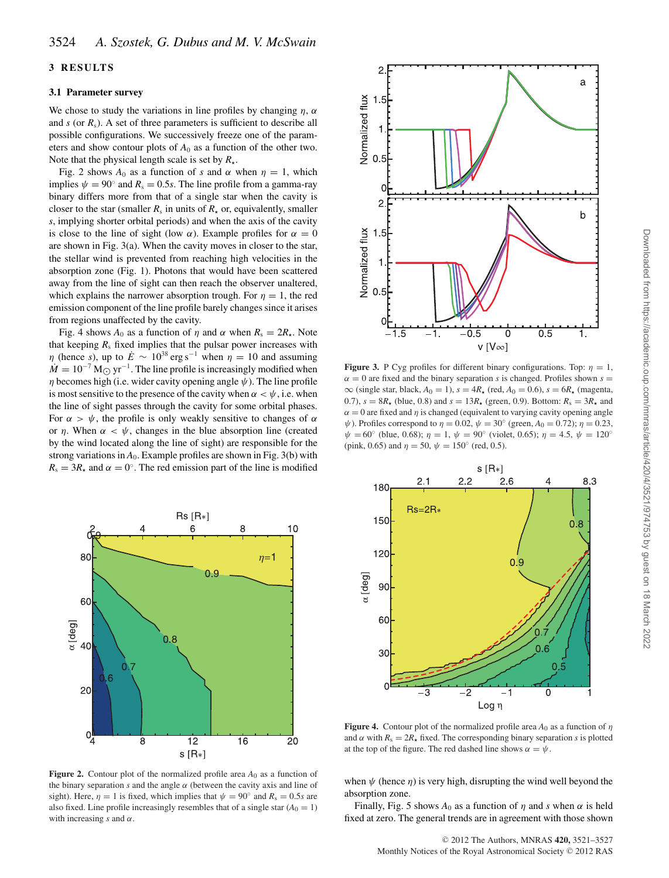## **3 RESULTS**

#### **3.1 Parameter survey**

We chose to study the variations in line profiles by changing  $\eta$ ,  $\alpha$ and  $s$  (or  $R_s$ ). A set of three parameters is sufficient to describe all possible configurations. We successively freeze one of the parameters and show contour plots of  $A_0$  as a function of the other two. Note that the physical length scale is set by  $R_{\star}$ .

Fig. 2 shows  $A_0$  as a function of *s* and  $\alpha$  when  $\eta = 1$ , which implies  $\psi = 90^\circ$  and  $R_s = 0.5s$ . The line profile from a gamma-ray binary differs more from that of a single star when the cavity is closer to the star (smaller  $R_s$  in units of  $R_{\star}$  or, equivalently, smaller *s*, implying shorter orbital periods) and when the axis of the cavity is close to the line of sight (low  $\alpha$ ). Example profiles for  $\alpha = 0$ are shown in Fig. 3(a). When the cavity moves in closer to the star, the stellar wind is prevented from reaching high velocities in the absorption zone (Fig. 1). Photons that would have been scattered away from the line of sight can then reach the observer unaltered, which explains the narrower absorption trough. For  $\eta = 1$ , the red emission component of the line profile barely changes since it arises from regions unaffected by the cavity.

Fig. 4 shows  $A_0$  as a function of  $\eta$  and  $\alpha$  when  $R_s = 2R_{\star}$ . Note that keeping  $R_s$  fixed implies that the pulsar power increases with  $\eta$  (hence *s*), up to  $\dot{E} \sim 10^{38} \text{ erg s}^{-1}$  when  $\eta = 10$  and assuming  $\dot{M} = 10^{-7} M_{\odot}$  yr<sup>-1</sup>. The line profile is increasingly modified when  $\eta$  becomes high (i.e. wider cavity opening angle  $\psi$ ). The line profile is most sensitive to the presence of the cavity when  $\alpha < \psi$ , i.e. when the line of sight passes through the cavity for some orbital phases. For  $\alpha > \psi$ , the profile is only weakly sensitive to changes of  $\alpha$ or  $\eta$ . When  $\alpha < \psi$ , changes in the blue absorption line (created by the wind located along the line of sight) are responsible for the strong variations in  $A_0$ . Example profiles are shown in Fig. 3(b) with  $R_s = 3R_{\star}$  and  $\alpha = 0$ °. The red emission part of the line is modified



**Figure 2.** Contour plot of the normalized profile area *A*<sup>0</sup> as a function of the binary separation  $s$  and the angle  $\alpha$  (between the cavity axis and line of sight). Here,  $\eta = 1$  is fixed, which implies that  $\psi = 90^\circ$  and  $R_s = 0.5s$  are also fixed. Line profile increasingly resembles that of a single star  $(A_0 = 1)$ with increasing  $s$  and  $\alpha$ .



**Figure 3.** P Cyg profiles for different binary configurations. Top:  $\eta = 1$ ,  $\alpha = 0$  are fixed and the binary separation *s* is changed. Profiles shown  $s =$  $\infty$  (single star, black,  $A_0 = 1$ ),  $s = 4R_{\star}$  (red,  $A_0 = 0.6$ ),  $s = 6R_{\star}$  (magenta, 0.7),  $s = 8R_{\star}$  (blue, 0.8) and  $s = 13R_{\star}$  (green, 0.9). Bottom:  $R_s = 3R_{\star}$  and  $\alpha = 0$  are fixed and  $\eta$  is changed (equivalent to varying cavity opening angle  $ψ$ ). Profiles correspond to  $η = 0.02$ ,  $ψ = 30<sup>°</sup>$  (green,  $A<sub>0</sub> = 0.72$ );  $η = 0.23$ ,  $\psi = 60^{\circ}$  (blue, 0.68);  $\eta = 1$ ,  $\psi = 90^{\circ}$  (violet, 0.65);  $\eta = 4.5$ ,  $\psi = 120^{\circ}$ (pink, 0.65) and  $\eta = 50$ ,  $\psi = 150^{\circ}$  (red, 0.5).



**Figure 4.** Contour plot of the normalized profile area  $A_0$  as a function of  $\eta$ and  $\alpha$  with  $R_s = 2R_{\star}$  fixed. The corresponding binary separation *s* is plotted at the top of the figure. The red dashed line shows  $\alpha = \psi$ .

when  $\psi$  (hence  $\eta$ ) is very high, disrupting the wind well beyond the absorption zone.

Finally, Fig. 5 shows  $A_0$  as a function of  $\eta$  and *s* when  $\alpha$  is held fixed at zero. The general trends are in agreement with those shown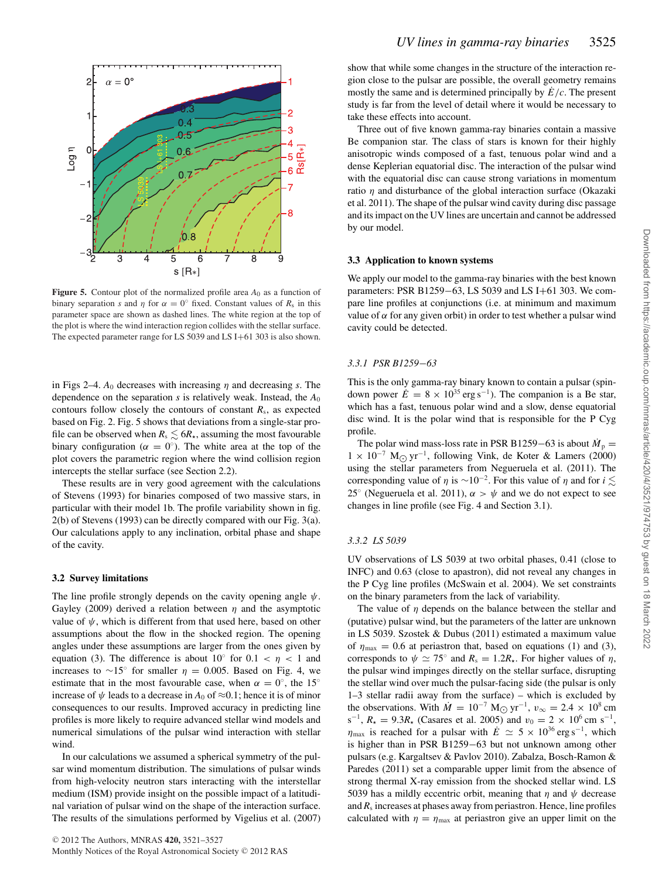

**Figure 5.** Contour plot of the normalized profile area  $A_0$  as a function of binary separation *s* and  $\eta$  for  $\alpha = 0^\circ$  fixed. Constant values of  $R_s$  in this parameter space are shown as dashed lines. The white region at the top of the plot is where the wind interaction region collides with the stellar surface. The expected parameter range for LS 5039 and LS I+61 303 is also shown.

in Figs 2–4.  $A_0$  decreases with increasing  $\eta$  and decreasing *s*. The dependence on the separation *s* is relatively weak. Instead, the *A*<sup>0</sup> contours follow closely the contours of constant  $R_s$ , as expected based on Fig. 2. Fig. 5 shows that deviations from a single-star profile can be observed when  $R_s \lesssim 6R_\star$ , assuming the most favourable binary configuration ( $\alpha = 0^{\circ}$ ). The white area at the top of the plot covers the parametric region where the wind collision region intercepts the stellar surface (see Section 2.2).

These results are in very good agreement with the calculations of Stevens (1993) for binaries composed of two massive stars, in particular with their model 1b. The profile variability shown in fig. 2(b) of Stevens (1993) can be directly compared with our Fig. 3(a). Our calculations apply to any inclination, orbital phase and shape of the cavity.

## **3.2 Survey limitations**

The line profile strongly depends on the cavity opening angle  $\psi$ . Gayley (2009) derived a relation between  $\eta$  and the asymptotic value of  $\psi$ , which is different from that used here, based on other assumptions about the flow in the shocked region. The opening angles under these assumptions are larger from the ones given by equation (3). The difference is about  $10°$  for  $0.1 < \eta < 1$  and increases to ∼15° for smaller  $\eta = 0.005$ . Based on Fig. 4, we estimate that in the most favourable case, when  $\alpha = 0^{\circ}$ , the 15<sup>°</sup> increase of  $\psi$  leads to a decrease in  $A_0$  of  $\approx 0.1$ ; hence it is of minor consequences to our results. Improved accuracy in predicting line profiles is more likely to require advanced stellar wind models and numerical simulations of the pulsar wind interaction with stellar wind.

In our calculations we assumed a spherical symmetry of the pulsar wind momentum distribution. The simulations of pulsar winds from high-velocity neutron stars interacting with the interstellar medium (ISM) provide insight on the possible impact of a latitudinal variation of pulsar wind on the shape of the interaction surface. The results of the simulations performed by Vigelius et al. (2007) show that while some changes in the structure of the interaction region close to the pulsar are possible, the overall geometry remains mostly the same and is determined principally by  $\dot{E}/c$ . The present study is far from the level of detail where it would be necessary to take these effects into account.

Three out of five known gamma-ray binaries contain a massive Be companion star. The class of stars is known for their highly anisotropic winds composed of a fast, tenuous polar wind and a dense Keplerian equatorial disc. The interaction of the pulsar wind with the equatorial disc can cause strong variations in momentum ratio  $\eta$  and disturbance of the global interaction surface (Okazaki et al. 2011). The shape of the pulsar wind cavity during disc passage and its impact on the UV lines are uncertain and cannot be addressed by our model.

### **3.3 Application to known systems**

We apply our model to the gamma-ray binaries with the best known parameters: PSR B1259−63, LS 5039 and LS I+61 303. We compare line profiles at conjunctions (i.e. at minimum and maximum value of  $\alpha$  for any given orbit) in order to test whether a pulsar wind cavity could be detected.

### *3.3.1 PSR B1259*−*63*

This is the only gamma-ray binary known to contain a pulsar (spindown power  $\dot{E} = 8 \times 10^{35} \text{ erg s}^{-1}$ ). The companion is a Be star, which has a fast, tenuous polar wind and a slow, dense equatorial disc wind. It is the polar wind that is responsible for the P Cyg profile.

The polar wind mass-loss rate in PSR B1259–63 is about  $\dot{M}_p =$  $1 \times 10^{-7}$  M<sub> $\odot$ </sub> yr<sup>-1</sup>, following Vink, de Koter & Lamers (2000) using the stellar parameters from Negueruela et al. (2011). The corresponding value of  $\eta$  is ~10<sup>-2</sup>. For this value of  $\eta$  and for *i*  $\lesssim$ 25<sup>°</sup> (Negueruela et al. 2011),  $\alpha > \psi$  and we do not expect to see changes in line profile (see Fig. 4 and Section 3.1).

#### *3.3.2 LS 5039*

UV observations of LS 5039 at two orbital phases, 0.41 (close to INFC) and 0.63 (close to apastron), did not reveal any changes in the P Cyg line profiles (McSwain et al. 2004). We set constraints on the binary parameters from the lack of variability.

The value of  $\eta$  depends on the balance between the stellar and (putative) pulsar wind, but the parameters of the latter are unknown in LS 5039. Szostek & Dubus (2011) estimated a maximum value of  $\eta_{\text{max}} = 0.6$  at periastron that, based on equations (1) and (3), corresponds to  $\psi \simeq 75^{\circ}$  and  $R_s = 1.2R_{\star}$ . For higher values of  $\eta$ , the pulsar wind impinges directly on the stellar surface, disrupting the stellar wind over much the pulsar-facing side (the pulsar is only 1–3 stellar radii away from the surface) – which is excluded by the observations. With  $\dot{M} = 10^{-7}$  M<sub>O</sub> yr<sup>-1</sup>,  $v_{\infty} = 2.4 \times 10^8$  cm  $s^{-1}$ ,  $R_{\star} = 9.3R_{\star}$  (Casares et al. 2005) and  $v_0 = 2 \times 10^6$  cm s<sup>-1</sup>,  $\eta_{\text{max}}$  is reached for a pulsar with  $\dot{E} \simeq 5 \times 10^{36} \text{ erg s}^{-1}$ , which is higher than in PSR B1259−63 but not unknown among other pulsars (e.g. Kargaltsev & Pavlov 2010). Zabalza, Bosch-Ramon & Paredes (2011) set a comparable upper limit from the absence of strong thermal X-ray emission from the shocked stellar wind. LS 5039 has a mildly eccentric orbit, meaning that  $\eta$  and  $\psi$  decrease and  $R_s$  increases at phases away from periastron. Hence, line profiles calculated with  $\eta = \eta_{\text{max}}$  at periastron give an upper limit on the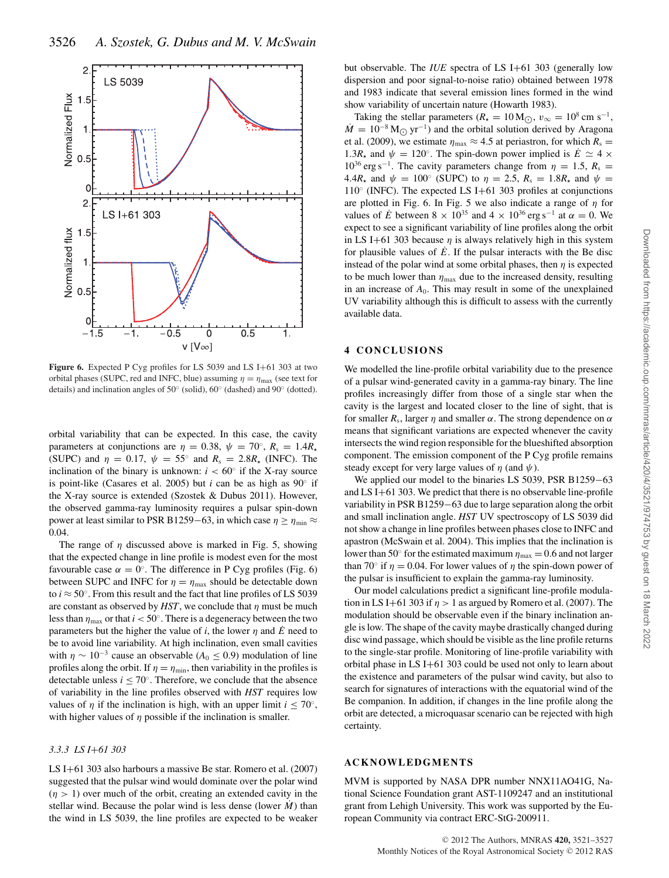

Figure 6. Expected P Cyg profiles for LS 5039 and LS I+61 303 at two orbital phases (SUPC, red and INFC, blue) assuming  $\eta = \eta_{\text{max}}$  (see text for details) and inclination angles of 50◦ (solid), 60◦ (dashed) and 90◦ (dotted).

orbital variability that can be expected. In this case, the cavity parameters at conjunctions are  $\eta = 0.38$ ,  $\psi = 70^{\circ}$ ,  $R_s = 1.4R_{\star}$ (SUPC) and  $\eta = 0.17$ ,  $\psi = 55^{\circ}$  and  $R_s = 2.8R_{\star}$  (INFC). The inclination of the binary is unknown:  $i < 60^\circ$  if the X-ray source is point-like (Casares et al. 2005) but *i* can be as high as 90◦ if the X-ray source is extended (Szostek & Dubus 2011). However, the observed gamma-ray luminosity requires a pulsar spin-down power at least similar to PSR B1259−63, in which case  $\eta \ge \eta_{\min} \approx$ 0.04.

The range of  $\eta$  discussed above is marked in Fig. 5, showing that the expected change in line profile is modest even for the most favourable case  $\alpha = 0^{\circ}$ . The difference in P Cyg profiles (Fig. 6) between SUPC and INFC for  $\eta = \eta_{\text{max}}$  should be detectable down to  $i \approx 50^\circ$ . From this result and the fact that line profiles of LS 5039 are constant as observed by  $HST$ , we conclude that  $\eta$  must be much less than  $\eta_{\text{max}}$  or that  $i < 50^\circ$ . There is a degeneracy between the two parameters but the higher the value of *i*, the lower  $\eta$  and  $\dot{E}$  need to be to avoid line variability. At high inclination, even small cavities with  $\eta \sim 10^{-3}$  cause an observable ( $A_0 \le 0.9$ ) modulation of line profiles along the orbit. If  $\eta = \eta_{\min}$ , then variability in the profiles is detectable unless  $i \le 70^\circ$ . Therefore, we conclude that the absence of variability in the line profiles observed with *HST* requires low values of  $\eta$  if the inclination is high, with an upper limit  $i < 70^\circ$ , with higher values of  $\eta$  possible if the inclination is smaller.

## *3.3.3 LS I*+*61 303*

LS I+61 303 also harbours a massive Be star. Romero et al. (2007) suggested that the pulsar wind would dominate over the polar wind  $(\eta > 1)$  over much of the orbit, creating an extended cavity in the stellar wind. Because the polar wind is less dense (lower  $\dot{M}$ ) than the wind in LS 5039, the line profiles are expected to be weaker

but observable. The *IUE* spectra of LS I+61 303 (generally low dispersion and poor signal-to-noise ratio) obtained between 1978 and 1983 indicate that several emission lines formed in the wind show variability of uncertain nature (Howarth 1983).

Taking the stellar parameters ( $R_{\star} = 10 \,\mathrm{M}_{\odot}$ ,  $v_{\infty} = 10^8 \,\mathrm{cm \; s^{-1}}$ ,  $\dot{M} = 10^{-8}$  M<sub> $\odot$ </sub> yr<sup>-1</sup>) and the orbital solution derived by Aragona et al. (2009), we estimate  $\eta_{\text{max}} \approx 4.5$  at periastron, for which  $R_s =$ 1.3 $R_{\star}$  and  $\psi = 120^{\circ}$ . The spin-down power implied is  $\dot{E} \simeq 4 \times$  $10^{36}$  erg s<sup>-1</sup>. The cavity parameters change from  $\eta = 1.5$ ,  $R_s =$ 4.4 $R_{\star}$  and  $\psi = 100^{\circ}$  (SUPC) to  $\eta = 2.5$ ,  $R_{\rm s} = 1.8R_{\star}$  and  $\psi =$ 110◦ (INFC). The expected LS I+61 303 profiles at conjunctions are plotted in Fig. 6. In Fig. 5 we also indicate a range of  $\eta$  for values of  $\dot{E}$  between 8 × 10<sup>35</sup> and 4 × 10<sup>36</sup> erg s<sup>-1</sup> at  $\alpha = 0$ . We expect to see a significant variability of line profiles along the orbit in LS I+61 303 because  $\eta$  is always relatively high in this system for plausible values of  $\dot{E}$ . If the pulsar interacts with the Be disc instead of the polar wind at some orbital phases, then  $\eta$  is expected to be much lower than  $\eta_{\text{max}}$  due to the increased density, resulting in an increase of  $A_0$ . This may result in some of the unexplained UV variability although this is difficult to assess with the currently available data.

### **4 CONCLUSIONS**

We modelled the line-profile orbital variability due to the presence of a pulsar wind-generated cavity in a gamma-ray binary. The line profiles increasingly differ from those of a single star when the cavity is the largest and located closer to the line of sight, that is for smaller  $R_s$ , larger  $\eta$  and smaller  $\alpha$ . The strong dependence on  $\alpha$ means that significant variations are expected whenever the cavity intersects the wind region responsible for the blueshifted absorption component. The emission component of the P Cyg profile remains steady except for very large values of  $\eta$  (and  $\psi$ ).

We applied our model to the binaries LS 5039, PSR B1259−63 and LS I+61 303. We predict that there is no observable line-profile variability in PSR B1259−63 due to large separation along the orbit and small inclination angle. *HST* UV spectroscopy of LS 5039 did not show a change in line profiles between phases close to INFC and apastron (McSwain et al. 2004). This implies that the inclination is lower than 50 $^{\circ}$  for the estimated maximum  $\eta_{\text{max}} = 0.6$  and not larger than 70° if  $\eta = 0.04$ . For lower values of  $\eta$  the spin-down power of the pulsar is insufficient to explain the gamma-ray luminosity.

Our model calculations predict a significant line-profile modulation in LS I+61 303 if  $\eta > 1$  as argued by Romero et al. (2007). The modulation should be observable even if the binary inclination angle is low. The shape of the cavity maybe drastically changed during disc wind passage, which should be visible as the line profile returns to the single-star profile. Monitoring of line-profile variability with orbital phase in LS I+61 303 could be used not only to learn about the existence and parameters of the pulsar wind cavity, but also to search for signatures of interactions with the equatorial wind of the Be companion. In addition, if changes in the line profile along the orbit are detected, a microquasar scenario can be rejected with high certainty.

#### **ACKNOWLEDGMENTS**

MVM is supported by NASA DPR number NNX11AO41G, National Science Foundation grant AST-1109247 and an institutional grant from Lehigh University. This work was supported by the European Community via contract ERC-StG-200911.